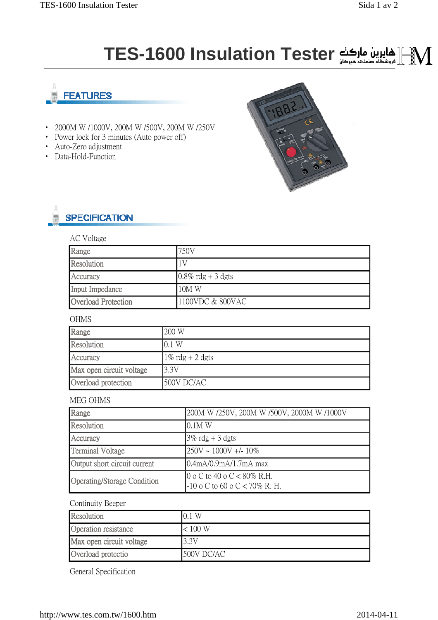# **TES-1600 Insulation Tester**



- 2000M W /1000V, 200M W /500V, 200M W /250V
- Power lock for 3 minutes (Auto power off)
- Auto-Zero adjustment
- Data-Hold-Function



# **SPECIFICATION**

### AC Voltage

| Range               | 750V                 |
|---------------------|----------------------|
| Resolution          | 1V                   |
| Accuracy            | $0.8\%$ rdg + 3 dgts |
| Input Impedance     | $10M$ W              |
| Overload Protection | 1100VDC & 800VAC     |

# **OHMS**

| Range                    | 200 W              |
|--------------------------|--------------------|
| Resolution               | 0.1 W              |
| Accuracy                 | $1\%$ rdg + 2 dgts |
| Max open circuit voltage | 3.3V               |
| Overload protection      | 500V DC/AC         |

#### MEG OHMS

| Range                        | 200M W /250V, 200M W /500V, 2000M W /1000V                          |
|------------------------------|---------------------------------------------------------------------|
| Resolution                   | 10.1M W                                                             |
| Accuracy                     | $3\%$ rdg + 3 dgts                                                  |
| <b>Terminal Voltage</b>      | $1250V \sim 1000V + 10\%$                                           |
| Output short circuit current | 0.4mA/0.9mA/1.7mA max                                               |
| Operating/Storage Condition  | $0 \circ C$ to 40 o C < 80% R.H.<br>$-10$ o C to 60 o C < 70% R. H. |

## Continuity Beeper

| Resolution               | W          |
|--------------------------|------------|
| Operation resistance     | < 100 W    |
| Max open circuit voltage | 3.3V       |
| Overload protectio       | 500V DC/AC |

General Specification